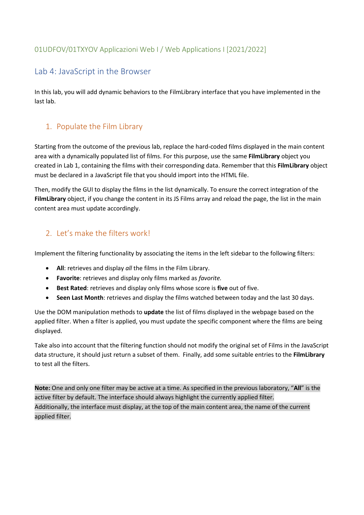#### 01UDFOV/01TXYOV Applicazioni Web I / Web Applications I [2021/2022]

## Lab 4: JavaScript in the Browser

In this lab, you will add dynamic behaviors to the FilmLibrary interface that you have implemented in the last lab.

## 1. Populate the Film Library

Starting from the outcome of the previous lab, replace the hard-coded films displayed in the main content area with a dynamically populated list of films. For this purpose, use the same **FilmLibrary** object you created in Lab 1, containing the films with their corresponding data. Remember that this **FilmLibrary** object must be declared in a JavaScript file that you should import into the HTML file.

Then, modify the GUI to display the films in the list dynamically. To ensure the correct integration of the **FilmLibrary** object, if you change the content in its JS Films array and reload the page, the list in the main content area must update accordingly.

#### 2. Let's make the filters work!

Implement the filtering functionality by associating the items in the left sidebar to the following filters:

- **All**: retrieves and display *all* the films in the Film Library.
- **Favorite**: retrieves and display only films marked as *favorite.*
- **Best Rated**: retrieves and display only films whose score is **five** out of five.
- **Seen Last Month**: retrieves and display the films watched between today and the last 30 days.

Use the DOM manipulation methods to **update** the list of films displayed in the webpage based on the applied filter. When a filter is applied, you must update the specific component where the films are being displayed.

Take also into account that the filtering function should not modify the original set of Films in the JavaScript data structure, it should just return a subset of them. Finally, add some suitable entries to the **FilmLibrary** to test all the filters.

**Note:** One and only one filter may be active at a time. As specified in the previous laboratory, "**All**" is the active filter by default. The interface should always highlight the currently applied filter. Additionally, the interface must display, at the top of the main content area, the name of the current applied filter.